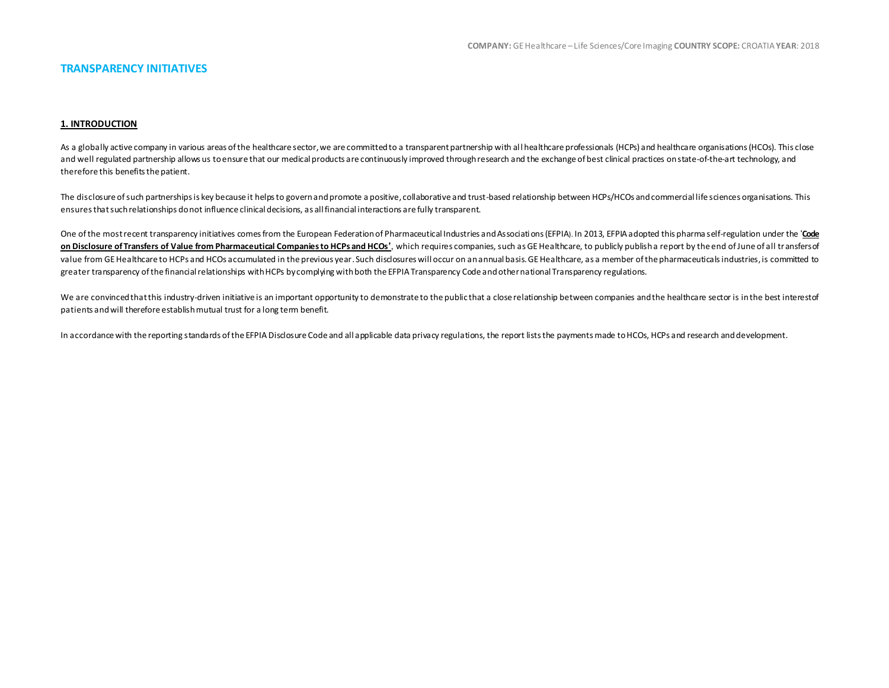## **TRANSPARENCY INITIATIVES**

#### **1. INTRODUCTION**

As a globally active company in various areas of the healthcare sector, we are committed to a transparent partnership with all healthcare professionals (HCPs) and healthcare organisations (HCOs). This close and well regulated partnership allows us to ensure that our medical products are continuously improved through research and the exchange of best clinical practices on state-of-the-art technology, and therefore this benefits the patient.

The disclosure of such partnerships is key because it helps to govern and promote a positive, collaborative and trust-based relationship between HCPs/HCOs and commercial life sciences organisations. This ensures that such relationships do not influence clinical decisions, as all financial interactions are fully transparent.

One of the most recent transparency initiatives comes from the European Federation of Pharmaceutical Industries and Associati ons (EFPIA). In 2013, EFPIA adopted this pharma self-regulation under the '**[Code](http://transparency.efpia.eu/the-efpia-code-2)  [on Disclosure of Transfers of Value from Pharmaceutical Companies to HCPs and HCOs](http://transparency.efpia.eu/the-efpia-code-2)'**, which requires companies, such as GE Healthcare, to publicly publish a report by the end of June of all transfers of value from GE Healthcare to HCPs and HCOs accumulated in the previous year. Such disclosures will occur on an annual basis. GE Healthcare, as a member of the pharmaceuticals industries, is committed to greater transparency of the financial relationships with HCPs by complying with both the EFPIA Transparency Code and other national Transparency regulations.

We are convinced that this industry-driven initiative is an important opportunity to demonstrate to the public that a close relationship between companies and the healthcare sector is in the best interest of patients and will therefore establish mutual trust for a long term benefit.

In accordance with the reporting standards of the EFPIA Disclosure Code and all applicable data privacy regulations, the report lists the payments made to HCOs, HCPs and research and development.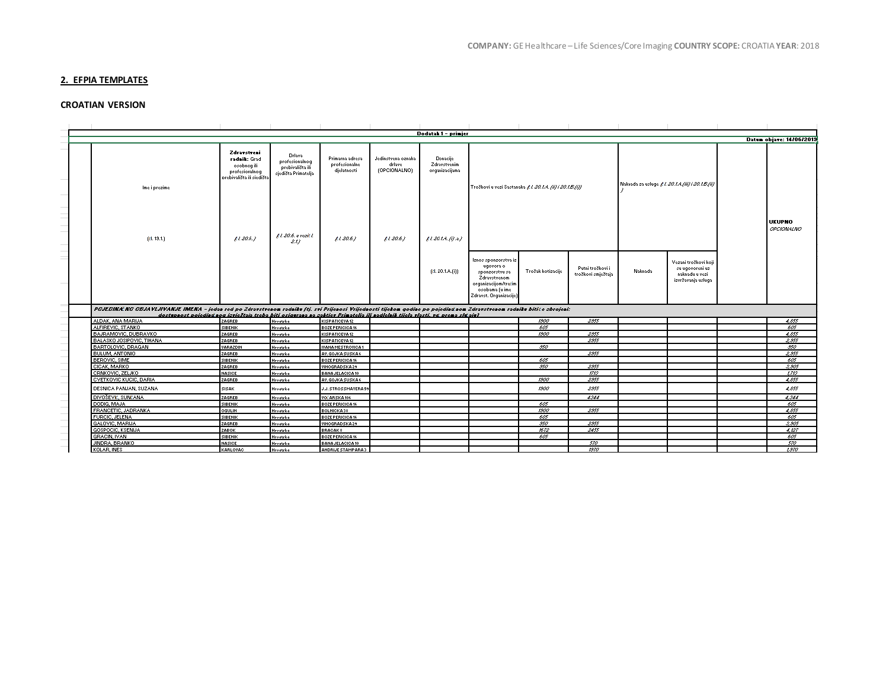# **2. EFPIA TEMPLATES**

# **CROATIAN VERSION**

|                                                                                                                                                                                                                                                                                                        |                                                                                           |                                                                     |                                                 |                                              | Dodatak 1 - primjer                        |                                                                     |                   |                                        |         |                                                                                 |                             |
|--------------------------------------------------------------------------------------------------------------------------------------------------------------------------------------------------------------------------------------------------------------------------------------------------------|-------------------------------------------------------------------------------------------|---------------------------------------------------------------------|-------------------------------------------------|----------------------------------------------|--------------------------------------------|---------------------------------------------------------------------|-------------------|----------------------------------------|---------|---------------------------------------------------------------------------------|-----------------------------|
|                                                                                                                                                                                                                                                                                                        |                                                                                           |                                                                     |                                                 |                                              |                                            |                                                                     |                   |                                        |         |                                                                                 | Datum objave: 14/06/2013    |
|                                                                                                                                                                                                                                                                                                        | Zdravstveni<br>radnik: Grad<br>osobnog ili<br>profesionalnog<br>prebivališta ili siedišta | Drlava<br>profesionalnog<br>prebivališta ili<br>sjedišta Primatelja | Primarna adresa<br>profesionalne<br>djelatnosti | Jedinstvena oznaka<br>drlave<br>(OPCIONALNO) | Donacije<br>Zdravstvenim<br>organizacijama |                                                                     |                   |                                        |         | Naknada za usluge £1.20.1.4./iii) i 20.1.5./ii)                                 |                             |
| Ime i prezime                                                                                                                                                                                                                                                                                          |                                                                                           |                                                                     |                                                 |                                              |                                            | Troškovi u vezi Sastanaka £1.20.1.4. (ii) i 20.1.5.(i))             |                   |                                        |         |                                                                                 |                             |
|                                                                                                                                                                                                                                                                                                        |                                                                                           |                                                                     |                                                 |                                              |                                            |                                                                     |                   |                                        |         |                                                                                 |                             |
|                                                                                                                                                                                                                                                                                                        |                                                                                           |                                                                     |                                                 |                                              |                                            |                                                                     |                   |                                        |         |                                                                                 |                             |
|                                                                                                                                                                                                                                                                                                        |                                                                                           |                                                                     |                                                 |                                              |                                            |                                                                     |                   |                                        |         |                                                                                 |                             |
|                                                                                                                                                                                                                                                                                                        |                                                                                           |                                                                     |                                                 |                                              |                                            |                                                                     |                   |                                        |         |                                                                                 | <b>UKUPNO</b><br>OPCIONALNO |
|                                                                                                                                                                                                                                                                                                        |                                                                                           | £1.20.6. a vezit l.                                                 |                                                 |                                              |                                            |                                                                     |                   |                                        |         |                                                                                 |                             |
| [21.13.1]                                                                                                                                                                                                                                                                                              | 1.20.6.                                                                                   | 2.17                                                                | $11.20.6$ .)                                    | 1.20.6.                                      | f1.20.1A. (i).2)                           |                                                                     |                   |                                        |         |                                                                                 |                             |
|                                                                                                                                                                                                                                                                                                        |                                                                                           |                                                                     |                                                 |                                              |                                            |                                                                     |                   |                                        |         |                                                                                 |                             |
|                                                                                                                                                                                                                                                                                                        |                                                                                           |                                                                     |                                                 |                                              |                                            |                                                                     |                   |                                        |         |                                                                                 |                             |
|                                                                                                                                                                                                                                                                                                        |                                                                                           |                                                                     |                                                 |                                              | [21.20.1.A.(i)]                            | lanos sponaorstva ia<br>ugovora o<br>sponzorstvu sa<br>Zdravstvenom | Trošak kotizacije | Putni troškovi i<br>troškovi smještaja | Naknada | Vezani troškovi koji<br>su ugovoreni uz<br>naknadu u vezi<br>izvršavanja usluga |                             |
|                                                                                                                                                                                                                                                                                                        |                                                                                           |                                                                     |                                                 |                                              |                                            | orqanizacijom/tretin<br>osobama (u ime<br>Zdravst, Organizacije)    |                   |                                        |         |                                                                                 |                             |
| PGJEDIKA NO OBJAVLJVANJE IMENA - jedan ted po Zdravstvenom radniku (tj. svi Prijenosi Vrijednosti tijekom godine po pojedinžnom Zdravstvenom radniku bitite zbrojeni:<br>dostepeost poiediež eog izrieštaja treba biti osigeraea ea zaktier Prinatelia ili eadleleik tiicla rlasti, rd. prema sl&aie). |                                                                                           |                                                                     |                                                 |                                              |                                            |                                                                     |                   |                                        |         |                                                                                 |                             |
| ALDAK, ANA MARIJA                                                                                                                                                                                                                                                                                      | ZAGREB                                                                                    | Hrvatska                                                            | KISPATICEVA12                                   |                                              |                                            |                                                                     | 1900              | 2955                                   |         |                                                                                 | 4,855                       |
| ALFIREVIC, STANKO                                                                                                                                                                                                                                                                                      | SIBENIK                                                                                   | Hrvatrka                                                            | BOZE PERICICA 16                                |                                              |                                            |                                                                     | 605               |                                        |         |                                                                                 | 605                         |
| BAJRAMOVIC, DUBRAVKO                                                                                                                                                                                                                                                                                   | ZAGREB                                                                                    | Hrvatrka                                                            | KISPATICEVA12                                   |                                              |                                            |                                                                     | 1900              | 2955                                   |         |                                                                                 | 4.855                       |
| BALASKO JOSIPOVIC, TIHANA<br>BARTOLOVIC, DRAGAN                                                                                                                                                                                                                                                        | ZAGREB<br>VARAZDIN                                                                        | Hrvatrka                                                            | KISPATICEVA12<br><b>IVANAMESTROVICA1</b>        |                                              |                                            |                                                                     | 950               | 2955                                   |         |                                                                                 | 2,955<br>950                |
| <b>BULUM, ANTONIO</b>                                                                                                                                                                                                                                                                                  | ZAGREB                                                                                    | Hrvatrka<br>Hrvatrka                                                | AV. GOJKA SUSKA 6                               |                                              |                                            |                                                                     |                   | 2955                                   |         |                                                                                 | 2.955                       |
| <b>BEROVIC, SIME</b>                                                                                                                                                                                                                                                                                   | SIBENIK                                                                                   | Hrvatrka                                                            | BOZE PERICICA 16                                |                                              |                                            |                                                                     | 605               |                                        |         |                                                                                 | 605                         |
| CICAK, MARKO                                                                                                                                                                                                                                                                                           | ZAGREB                                                                                    | Hrvatrka                                                            | VINOGRADSKA29                                   |                                              |                                            |                                                                     | 950               | 2955                                   |         |                                                                                 | 5.905                       |
| CRNKOVIC, ZELJKO                                                                                                                                                                                                                                                                                       | NASICE                                                                                    | Hrvatrka                                                            | BANA JELACICA 10                                |                                              |                                            |                                                                     |                   | $\pi s$                                |         |                                                                                 | LT15                        |
| CVETKOVIC KUCIC, DARIA                                                                                                                                                                                                                                                                                 | ZAGREB                                                                                    | Hrvatrka                                                            | AV. GOJKA SUSKA 6                               |                                              |                                            |                                                                     | 1900              | 2955                                   |         |                                                                                 | 4.855                       |
| DESNICA PANJAN, SUZANA                                                                                                                                                                                                                                                                                 | SISAK                                                                                     | Hrvatrka                                                            | <b>J.J. STROSSMAYERA 59</b>                     |                                              |                                            |                                                                     | 1900              | 2955                                   |         |                                                                                 | 4,855                       |
| DIVOŠEVIĆ, SUNČANA                                                                                                                                                                                                                                                                                     | ZAGREB                                                                                    | Hrvatrka                                                            | VOČARSKA 106                                    |                                              |                                            |                                                                     |                   | 4544                                   |         |                                                                                 | 4.544                       |
| DODIG, MAJA                                                                                                                                                                                                                                                                                            | SIBENIK                                                                                   | Hrvatzka                                                            | <b>BOZE PERICICA 16</b>                         |                                              |                                            |                                                                     | 605               |                                        |         |                                                                                 | 605                         |
| FRANCETIC, JADRANKA                                                                                                                                                                                                                                                                                    | <b>OGULIN</b>                                                                             | Hrvatrka                                                            | BOLNICKA38                                      |                                              |                                            |                                                                     | 1900              | 2955                                   |         |                                                                                 | 4.855                       |
| FURCIC, JELENA                                                                                                                                                                                                                                                                                         | SIBENIK                                                                                   | Hrvatrka                                                            | BOZE PERICICA 16                                |                                              |                                            |                                                                     | 505<br>550        |                                        |         |                                                                                 | 605<br>5.505                |
| GALOVIC, MARIJA<br><b>GOSPOCIC, KSENIJA</b>                                                                                                                                                                                                                                                            | ZAGREB                                                                                    | Hrvatrka                                                            | VINOGRADSKA29                                   |                                              |                                            |                                                                     | 1672              | 2955<br>2455                           |         |                                                                                 | 4.127                       |
| GRACIN, IVAN                                                                                                                                                                                                                                                                                           | ZABOK                                                                                     | Hrvatrka                                                            | <b>BRACAK®</b>                                  |                                              |                                            |                                                                     | 605               |                                        |         |                                                                                 | 605                         |
| JINDRA, BRANKO                                                                                                                                                                                                                                                                                         | SIBENIK<br>NASICE                                                                         | Hrvatrka<br>Hrvatrka                                                | BOZE PERICICA 16<br>BANA JELACICA 10            |                                              |                                            |                                                                     |                   | 570                                    |         |                                                                                 | 570                         |
| KOLAR, INES                                                                                                                                                                                                                                                                                            | KARLOVAC                                                                                  | Hrvatrka                                                            | ANDRIJE STAMPARA3                               |                                              |                                            |                                                                     |                   | 1970                                   |         |                                                                                 | $t$ 570                     |
|                                                                                                                                                                                                                                                                                                        |                                                                                           |                                                                     |                                                 |                                              |                                            |                                                                     |                   |                                        |         |                                                                                 |                             |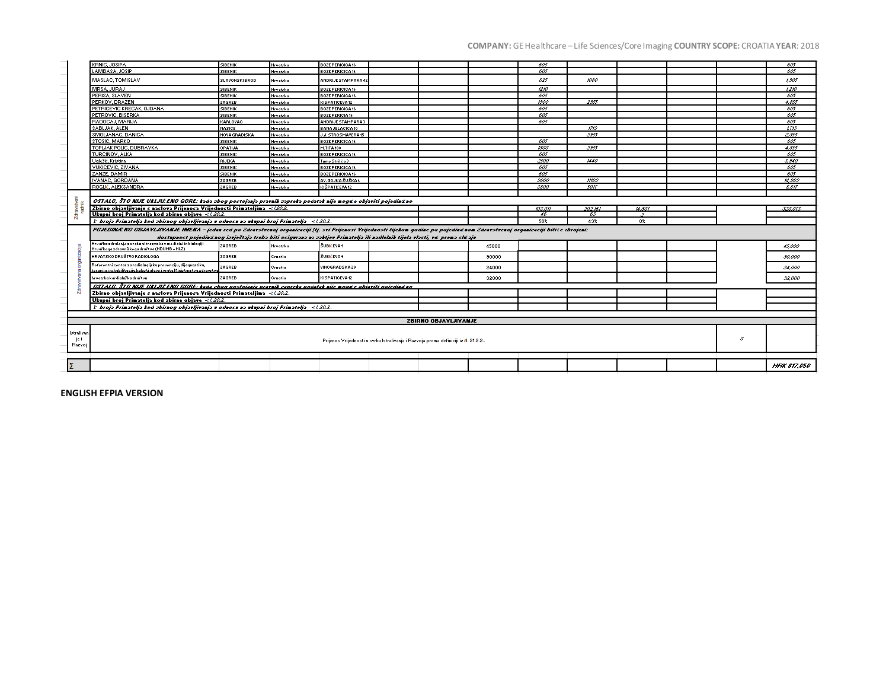# **COMPANY:** GE Healthcare – Life Sciences/Core Imaging **COUNTRY SCOPE:** CROATIA **YEAR**: 2018

|                              | KRNIC, JOSIPA                                                                                                                                                                    | SIBENIK              | Hrvatrka | BOZE PERICICA 16           |         |                             |       | 605  |             |         |   |  | 605                      |
|------------------------------|----------------------------------------------------------------------------------------------------------------------------------------------------------------------------------|----------------------|----------|----------------------------|---------|-----------------------------|-------|------|-------------|---------|---|--|--------------------------|
|                              | LAMBASA, JOSIP                                                                                                                                                                   | SIBENIK              | Hrvatrka | BOZE PERICICA 16           |         |                             |       | 605  |             |         |   |  | 605                      |
|                              | MASLAC, TOMISLAV                                                                                                                                                                 | <b>SLAVONSKIBROD</b> | Hrvatrka | <b>ANDRIJE STAMPARA 42</b> |         |                             |       | 825  | 1060        |         |   |  | 1.905                    |
|                              | MRSA, JURAJ                                                                                                                                                                      | SIBENIK              | Hrvatrka | BOZE PERICICA 16           |         |                             |       | 1210 |             |         |   |  | 1210                     |
|                              | PERISA, SLAVEN                                                                                                                                                                   | SIBENIK              | Hrvatrka | BOZE PERICICA 16           |         |                             |       | 605  |             |         |   |  | 605                      |
|                              | PERKOV, DRAZEN                                                                                                                                                                   | ZAGREB               | Hrvatrka | KISPATICEVA 12             |         |                             |       | 1900 | 2955        |         |   |  | 4.855                    |
|                              | PETRICEVIC KRECAK, OJDANA                                                                                                                                                        | SIBENIK              | Hrvatrka | BOZE PERICICA 16           |         |                             |       | 605  |             |         |   |  | 605                      |
|                              | PETROVIC, BISERKA                                                                                                                                                                | SIBENIK              | Hrvatrka | BOZE PERICIA 16            |         |                             |       | 605  |             |         |   |  | 605                      |
|                              | RADOCAJ, MARIJA                                                                                                                                                                  | KARLOVAC             | Hrvatrka | <b>ANDRIJE STAMPARA3</b>   |         |                             |       | 605  |             |         |   |  | 605                      |
|                              | SABLJAK, ALEN                                                                                                                                                                    | NASICE               | Hrvatrka | <b>BANA JELACICA 10</b>    |         |                             |       |      | <b>ITIS</b> |         |   |  | $t$ <i>r</i> ts          |
|                              | SMOLJANAC, DANICA                                                                                                                                                                | <b>NOVA GRADISKA</b> | Hrvatrka | J.J. STROSMAYERA 15        |         |                             |       |      | 2955        |         |   |  | 2,955                    |
|                              | <b>STOSIC, MARKO</b>                                                                                                                                                             | SIBENIK              | Hrvatrka | BOZE PERICICA 16           |         |                             |       | 605  |             |         |   |  | 605                      |
|                              | TOPLJAK POLIC, DUBRAVKA                                                                                                                                                          | OPATIJA              | Hrvatrka | M.TITA 188                 |         |                             |       | 1900 | 2955        |         |   |  | 4.855                    |
|                              | TURCINOV, ALKA                                                                                                                                                                   | SIBENIK              | Hrvatrka | BOZE PERICICA 16           |         |                             |       | 605  |             |         |   |  | 605                      |
|                              | Uglešić, Kristina                                                                                                                                                                | RIJEKA               | Hrvatrka | Tamo Strilića 3            |         |                             |       | 2500 | 1440        |         |   |  | 5.940                    |
|                              | VUKICEVIC, ZIVANA                                                                                                                                                                | <b>SIBENIK</b>       | Hrvatrka | <b>BOZE PERICICA 16</b>    |         |                             |       | 605  |             |         |   |  | 605                      |
|                              | ZANZE, DAMIR                                                                                                                                                                     | <b>SIBENIK</b>       | Hrvatrka | <b>BOZE PERICICA 16</b>    |         |                             |       | 605  |             |         |   |  | 605                      |
|                              | <b>IVANAC, GORDANA</b>                                                                                                                                                           | ZAGREB               | Hrvatrka | AV. GOJKA ŠUŠKA 6          |         |                             |       | 5800 | <b>HASS</b> |         |   |  | 14.985                   |
|                              | ROGLIĆ, ALEKSANDRA                                                                                                                                                               | ZAGREB               | Hrvatrka | KIŠPATIČEVA 12             |         |                             |       | 5800 | son         |         |   |  | $\overline{\mathcal{E}}$ |
|                              |                                                                                                                                                                                  |                      |          |                            |         |                             |       |      |             |         |   |  |                          |
|                              | GSTALG, ŠTG NIJE UKLJULENG GGRE: kodo zbog postojenje prevnik zepreke podetek nije noga e objeviti pojedina no                                                                   |                      |          |                            |         |                             |       |      |             |         |   |  |                          |
|                              | Zbirno objavljivanje s naslova Prijenosa Vrijednosti Primateljima -{2002.                                                                                                        |                      |          | msan                       | 202.161 | 14.901                      |       |      | 520.075     |         |   |  |                          |
|                              | Ukupni broj Primatelja kod zbirne objave ~ 202.                                                                                                                                  |                      |          |                            |         |                             |       | 46   | रू          | $\cdot$ |   |  |                          |
|                              | 58%<br>$\lambda$ broja Primatelja kod zbirnog objavljivanja u odnosu na ukupni broj Primatelja $-11.20.2$ .<br>43%<br>$0\%$                                                      |                      |          |                            |         |                             |       |      |             |         |   |  |                          |
|                              | PGJEDINA NG GBJAVLJIVANJE IMENA - jedas red po Zdravstvesoj orgasizaciji [tj. svi Prijesosi Vrijedsosti tijekom godine po pojedinžnom Zdravstvesoj orgasizaciji bitite zbrojesi: |                      |          |                            |         |                             |       |      |             |         |   |  |                          |
|                              | dostupnost pojedinžnog izvještaja treba biti osigurana na zaktjev Primatelja ili nadlelnih tijela vlasti, vd. prema slu ajv                                                      |                      |          |                            |         |                             |       |      |             |         |   |  |                          |
|                              | Hrvařka zdrulenie za raba ultrazvaka v medicini in bialagiji<br>Hrvářkoga zdravnířkoga druřtva (HDUMB - HLZ)                                                                     | ZAGREB               | Hrvatrka | <b>ŠUBILEVA 9</b>          |         |                             | 45000 |      |             |         |   |  | 45,000                   |
|                              | <b>HRVATSKODRUŠTVORADIOLOGA</b>                                                                                                                                                  | ZAGREB               | Craatia  | ŠUBIČEVA 9                 |         |                             | 30000 |      |             |         |   |  | 50,000                   |
|                              | Referentni centar za radiologijsku prevenciju, dijagnastiku,<br>terapijų i rehabilitacijų balesti alave į vrata Ministarstva zdrawtu                                             | ZAGREB               | Craatia  | MNOGRADSKA29               |         |                             | 24000 |      |             |         |   |  | 24,000                   |
|                              | hrvatrka kardialařka druřtva                                                                                                                                                     | ZAGREB               | Craatia  | KISPATICEVA12              |         |                             | 32000 |      |             |         |   |  | \$2,000                  |
|                              | -CSTALC, ŠTG NIJE UKLJIČENO GORE: kodo zbog postojenje prevnik zepreke podetek nije nagu e objeviti pojedinu no                                                                  |                      |          |                            |         |                             |       |      |             |         |   |  |                          |
|                              | Zbirno objavljivanje s naslova Prijenosa Vrijednosti Primateljima <i>-čl. 30.2.</i>                                                                                              |                      |          |                            |         |                             |       |      |             |         |   |  |                          |
|                              | Ukupni broj Primatelja kod zbirne objave -27.202.                                                                                                                                |                      |          |                            |         |                             |       |      |             |         |   |  |                          |
|                              | $3$ broja Primatelja kod zbirnog objavljivanja u odnosu na ukupni broj Primatelja $-41.20.2$ .                                                                                   |                      |          |                            |         |                             |       |      |             |         |   |  |                          |
|                              |                                                                                                                                                                                  |                      |          |                            |         |                             |       |      |             |         |   |  |                          |
|                              |                                                                                                                                                                                  |                      |          |                            |         | <b>ZBIRNO OBJAYLJIYANJE</b> |       |      |             |         |   |  |                          |
| lstralivan<br>je i<br>Razvoj | Prijenos Vrijednosti u svrhu Istralivanja i Razvoja prema definiciji iz čl. 21.2.2                                                                                               |                      |          |                            |         |                             |       |      |             |         | o |  |                          |
|                              |                                                                                                                                                                                  |                      |          |                            |         |                             |       |      |             |         |   |  |                          |
|                              |                                                                                                                                                                                  |                      |          |                            |         |                             |       |      |             |         |   |  |                          |
|                              |                                                                                                                                                                                  |                      |          |                            |         |                             |       |      |             |         |   |  | <b>HRK 617.656</b>       |

**ENGLISH EFPIA VERSION**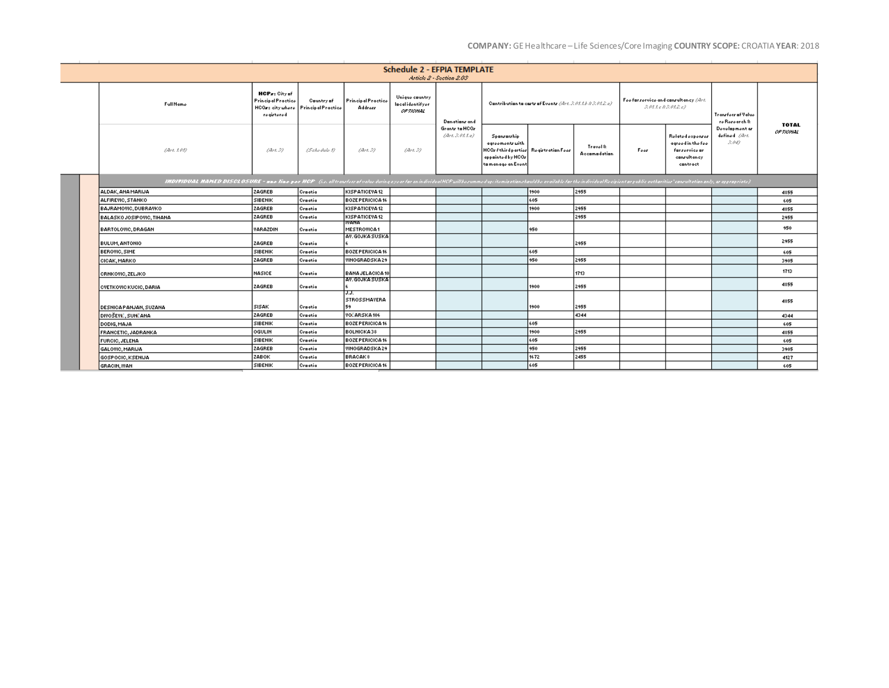# **COMPANY:** GE Healthcare – Life Sciences/Core Imaging **COUNTRY SCOPE:** CROATIA **YEAR**: 2018

| <b>Schedule 2 - EFPIA TEMPLATE</b><br>Article 2 - Section 2.03                                                                                                                                                                |                                                                              |                                                |                                      |                                                |                                      |                                                                                                                   |      |                          |                                       |                                                                                   |                                        |                                  |
|-------------------------------------------------------------------------------------------------------------------------------------------------------------------------------------------------------------------------------|------------------------------------------------------------------------------|------------------------------------------------|--------------------------------------|------------------------------------------------|--------------------------------------|-------------------------------------------------------------------------------------------------------------------|------|--------------------------|---------------------------------------|-----------------------------------------------------------------------------------|----------------------------------------|----------------------------------|
| FullName                                                                                                                                                                                                                      | HCPs: City of<br><b>Principal Practice</b><br>HCOre city uhere<br>registered | <b>Country of</b><br><b>Principal Practice</b> | <b>Principal Practice</b><br>Address | Unique country<br>lacalidentifyer<br>OF TIONAL | Danations and                        | Contribution to cartr of Events (Art. R.O.I.A.R.O.I.2.o)                                                          |      |                          | Foo far rorvice and canrultancy (Art. | ROLLERROLLE)                                                                      | Transfers of Value<br>re Rezearch &    |                                  |
| Obst. 1, 01).                                                                                                                                                                                                                 | Dirt. 32                                                                     | (Schedule 1)                                   | (Art. 3)                             | 14H.37                                         | Grantz to HCOz<br>(Art. S. (t. l. o) | Spanrarzhip<br>agreements with<br>HCOrfthird partier Registration Fees<br>appainted by HCOr<br>ta manago an Evont |      | Travel &<br>Accomodation | Foor                                  | Related expenses<br>agreed in the fee<br>farzorvico ar<br>conrultancy<br>cantract | Development or<br>defined Obst.<br>求みの | <b>TOTAL</b><br><b>OF TIONAL</b> |
| IHDIFIDUML HAHED DISCLOSURE - mar line per HCP (in all tearlow device of why open for an individual HCP will horomand up itemisationshould he available for the individual Encipienter public outhorities' consultation and), |                                                                              |                                                |                                      |                                                |                                      |                                                                                                                   |      |                          |                                       |                                                                                   |                                        |                                  |
| ALDAK, ANA MARIJA                                                                                                                                                                                                             | ZAGREB                                                                       | Craatia                                        | KISPATICEVA 12                       |                                                |                                      |                                                                                                                   | 1900 | 2955                     |                                       |                                                                                   |                                        | 4855                             |
| ALFIREVIC, STANKO                                                                                                                                                                                                             | і зівенік                                                                    | Craatia                                        | <b>BOZE PERICICA 16</b>              |                                                |                                      |                                                                                                                   | 605  |                          |                                       |                                                                                   |                                        | 605                              |
| <b>BAJRAMOVIC, DUBRAVKO</b>                                                                                                                                                                                                   | ZAGREB                                                                       | Craatia                                        | KISPATICEVA12                        |                                                |                                      |                                                                                                                   | 1900 | 2955                     |                                       |                                                                                   |                                        | 4855                             |
| BALASKO JOSIPOVIC, TIHANA                                                                                                                                                                                                     | ZAGREB                                                                       | Craatia                                        | KISPATICEVA12<br><b>IVANA</b>        |                                                |                                      |                                                                                                                   |      | 2955                     |                                       |                                                                                   |                                        | 2955                             |
| BARTOLOVIC, DRAGAN                                                                                                                                                                                                            | <b>VARAZDIN</b>                                                              | Craatia                                        | <b>MESTROVICA1</b>                   |                                                |                                      |                                                                                                                   | 950  |                          |                                       |                                                                                   |                                        | 950                              |
|                                                                                                                                                                                                                               |                                                                              |                                                | AV. GOJKA SUSKA                      |                                                |                                      |                                                                                                                   |      |                          |                                       |                                                                                   |                                        | 2955                             |
| <b>BULUM, ANTONIO</b>                                                                                                                                                                                                         | ZAGREB                                                                       | Craatia                                        |                                      |                                                |                                      |                                                                                                                   |      | 2955                     |                                       |                                                                                   |                                        |                                  |
| <b>BEROVIC, SIME</b>                                                                                                                                                                                                          | SIBENIK                                                                      | Craatia                                        | <b>BOZE PERICICA 16</b>              |                                                |                                      |                                                                                                                   | 605  |                          |                                       |                                                                                   |                                        | 605                              |
| CICAK, MARKO                                                                                                                                                                                                                  | ZAGREB                                                                       | Craatia                                        | VINOGRADSKA29                        |                                                |                                      |                                                                                                                   | 950  | 2955                     |                                       |                                                                                   |                                        | 3905                             |
| <b>CRNKOVIC, ZELJKO</b>                                                                                                                                                                                                       | <b>INASICE</b>                                                               | Craatia                                        | <b>BANA JELACICA 10</b>              |                                                |                                      |                                                                                                                   |      | 1713                     |                                       |                                                                                   |                                        | 1713                             |
| <b>CVETKOVIC KUCIC, DARIA</b>                                                                                                                                                                                                 | ZAGREB                                                                       | Craatia                                        | AV. GOJKA SUSKA                      |                                                |                                      |                                                                                                                   | 1900 | 2955                     |                                       |                                                                                   |                                        | 4855                             |
| DESNICA PANJAN, SUZANA                                                                                                                                                                                                        | <b>SISAK</b>                                                                 | Craatia                                        | J.J.<br><b>STROSSMAYERA</b><br>59    |                                                |                                      |                                                                                                                   | 1900 | 2955                     |                                       |                                                                                   |                                        | 4855                             |
| DIVOŠEVIĆ, SUNČANA                                                                                                                                                                                                            | ZAGREB                                                                       | Craatia                                        | VOČARSKA106                          |                                                |                                      |                                                                                                                   |      | 4344                     |                                       |                                                                                   |                                        | 4344                             |
| DODIG, MAJA                                                                                                                                                                                                                   | SIBENIK                                                                      | Craatia                                        | BOZE PERICICA 16                     |                                                |                                      |                                                                                                                   | 605  |                          |                                       |                                                                                   |                                        | 605                              |
| FRANCETIC, JADRANKA                                                                                                                                                                                                           | loguun                                                                       | Craatia                                        | BOLNICKA38                           |                                                |                                      |                                                                                                                   | 1900 | 2955                     |                                       |                                                                                   |                                        | 4855                             |
| <b>FURCIC, JELENA</b>                                                                                                                                                                                                         | <b>SIBENIK</b>                                                               | Craatia                                        | <b>BOZEPERICICA16</b>                |                                                |                                      |                                                                                                                   | 605  |                          |                                       |                                                                                   |                                        | 605                              |
| GALOVIC, MARIJA                                                                                                                                                                                                               | ZAGREB                                                                       | Craatia                                        | VINOGRADSKA29                        |                                                |                                      |                                                                                                                   | 950  | 2955                     |                                       |                                                                                   |                                        | 3905                             |
| GOSPOCIC, KSENIJA                                                                                                                                                                                                             | ZABOK                                                                        | Craatia                                        | BRACAK®                              |                                                |                                      |                                                                                                                   | 1672 | 2455                     |                                       |                                                                                   |                                        | 4127                             |
| GRACIN, IVAN                                                                                                                                                                                                                  | SIBENIK                                                                      | Craatia                                        | <b>BOZE PERICICA 16</b>              |                                                |                                      |                                                                                                                   | 605  |                          |                                       |                                                                                   |                                        | 605                              |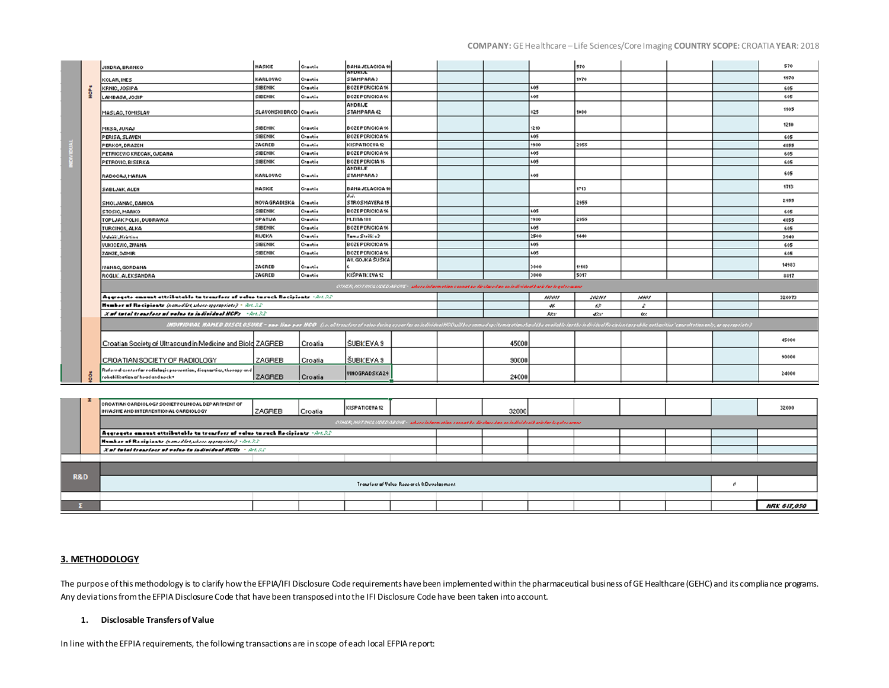## **COMPANY:** GE Healthcare – Life Sciences/Core Imaging **COUNTRY SCOPE:** CROATIA **YEAR**: 2018

|             | JINDRA, BRANKO                                                                                            | NASICE                                                                                                                                                                                                                         | Crastia | <b>BANA JELACICA 10</b> |  |                                                                                                           |       |       | 570    |               |  | 570    |
|-------------|-----------------------------------------------------------------------------------------------------------|--------------------------------------------------------------------------------------------------------------------------------------------------------------------------------------------------------------------------------|---------|-------------------------|--|-----------------------------------------------------------------------------------------------------------|-------|-------|--------|---------------|--|--------|
|             |                                                                                                           | KARLOVAC                                                                                                                                                                                                                       | Crastis | andrije<br>STAMPARA3    |  |                                                                                                           |       |       | 1970   |               |  | 1970   |
|             | KOLAR, INES<br>KRNIC, JOSIPA                                                                              | SIBENIK                                                                                                                                                                                                                        | Crastia | BOZE PERICICA 16        |  |                                                                                                           |       | 605   |        |               |  | 605    |
| <b>NGPK</b> |                                                                                                           | SIBENIK                                                                                                                                                                                                                        | Crastia | BOZE PERICICA 16        |  |                                                                                                           |       | 605   |        |               |  | 605    |
|             | LAMBASA, JOSIP                                                                                            |                                                                                                                                                                                                                                |         | ANDRIJE                 |  |                                                                                                           |       |       |        |               |  |        |
|             | MASLAC, TOMISLAV                                                                                          | SLAVONSKIBROD Crastis                                                                                                                                                                                                          |         | STAMPARA 42             |  |                                                                                                           |       | \$25  | 1080   |               |  | 1905   |
|             | MRSA, JURAJ                                                                                               | SIBENIK                                                                                                                                                                                                                        | Crastia | BOZE PERICICA 16        |  |                                                                                                           |       | 1210  |        |               |  | 1210   |
|             | PERISA, SLAVEN                                                                                            | SIBENIK                                                                                                                                                                                                                        | Crastia | BOZE PERICICA 16        |  |                                                                                                           |       | 605   |        |               |  | 605    |
|             | PERKOV, DRAZEN                                                                                            | ZAGREB                                                                                                                                                                                                                         | Crastia | KISPATICEVA 12          |  |                                                                                                           |       | 1900  | 2955   |               |  | 4855   |
|             | PETRICEVIC KRECAK, OJDANA                                                                                 | SIBENIK                                                                                                                                                                                                                        | Crastia | BOZE PERICICA 16        |  |                                                                                                           |       | 605   |        |               |  | 605    |
|             | PETROVIC, BISERKA                                                                                         | SIBENIK                                                                                                                                                                                                                        | Crastis | BOZE PERICIA 16         |  |                                                                                                           |       | 605   |        |               |  | 605    |
|             | RADOCAJ, MARIJA                                                                                           | KARLOVAC                                                                                                                                                                                                                       | Crastia | ANDRIJE<br>STAMPARA3    |  |                                                                                                           |       | 605   |        |               |  | 605    |
|             | SABLJAK, ALEN                                                                                             | <b>NASICE</b>                                                                                                                                                                                                                  | Crastia | <b>BANA JELACICA 10</b> |  |                                                                                                           |       |       | 1713   |               |  | 1713   |
|             | SMOLJANAC, DANICA                                                                                         | NOVA GRADISKA                                                                                                                                                                                                                  | Crastis | J.J.<br>STROSMAYERA 15  |  |                                                                                                           |       |       | 2955   |               |  | 2955   |
|             | STOSIC, MARKO                                                                                             | SIBENIK                                                                                                                                                                                                                        | Crastia | BOZE PERICICA 16        |  |                                                                                                           |       | 605   |        |               |  | 605    |
|             | TOPLJAK POLIC, DUBRAVKA                                                                                   | OPATIJA                                                                                                                                                                                                                        | Crastia | M.TITA 188              |  |                                                                                                           |       | 1900  | 2955   |               |  | 4855   |
|             | TURCINOV, ALKA                                                                                            | SIBENIK                                                                                                                                                                                                                        | Crastis | BOZE PERICICA 16        |  |                                                                                                           |       | 605   |        |               |  | 605    |
|             | Uglori, Kristina                                                                                          | RIJEKA                                                                                                                                                                                                                         | Crastis | Tamo Strilića 3         |  |                                                                                                           |       | 2500  | 1440   |               |  | 3940   |
|             | <b>VUKICEVIC, ZIVANA</b>                                                                                  | SIBENIK                                                                                                                                                                                                                        | Crastia | BOZE PERICICA 16        |  |                                                                                                           |       | 605   |        |               |  | 605    |
|             | ZANZE, DAMIR                                                                                              | SIBENIK                                                                                                                                                                                                                        | Crastia | BOZE PERICICA 16        |  |                                                                                                           |       | 605   |        |               |  | 605    |
|             | <b>IVANAC, GORDANA</b>                                                                                    | ZAGREB                                                                                                                                                                                                                         | Crastia | AV. GOJKA SUSKA         |  |                                                                                                           |       | 3800  | 11183  |               |  | 14983  |
|             | <b>ROGLIC, ALEKSANDRA</b>                                                                                 | ZAGREB                                                                                                                                                                                                                         | Crastia | KIŠPATIČEVA 12          |  |                                                                                                           |       | 3800  | 5017   |               |  | \$\$17 |
|             |                                                                                                           |                                                                                                                                                                                                                                |         |                         |  | GTHEF, NOTINGUUGEOSECHE - sikore information cannot be direlared on an individual barir for legal reasons |       |       |        |               |  |        |
|             | Aggregate amount attributable to transfers of value to such Recipients which?                             |                                                                                                                                                                                                                                |         |                         |  |                                                                                                           |       | NORSK | 202161 | NNN           |  | 320073 |
|             | Humber of Recipients (nonedlist, where oppropriate) - Art. 32.                                            |                                                                                                                                                                                                                                |         |                         |  |                                                                                                           |       | W.    | 65     | $\mathcal{L}$ |  |        |
|             | X of total transfers of value to individual HCFs - Art. S2.                                               |                                                                                                                                                                                                                                |         |                         |  |                                                                                                           |       | 588   | dite.  | $0 \times$    |  |        |
|             |                                                                                                           | IMDIFIDUAL MAMED DISCLOSURE - mar line par NCO (in all tranform value during oyen for an individual HCCuill berummed up itemisationshould be availabled for the individual Encipient or public authorities untarities and y, a |         |                         |  |                                                                                                           |       |       |        |               |  |        |
|             | Croatian Society of Ultrasound in Medicine and Biold ZAGREB                                               |                                                                                                                                                                                                                                | Croatia | ŠUBIĆEVA 9              |  |                                                                                                           | 45000 |       |        |               |  | 45000  |
|             | CROATIAN SOCIETY OF RADIOLOGY                                                                             | ZAGREB                                                                                                                                                                                                                         | Croatia | SUBIĆEVA 9              |  |                                                                                                           | 90000 |       |        |               |  | 90000  |
|             | Referral center for radiologic prevention, diagnostics, therapy and  <br>rohabilitation of hoad and nock+ | <b>ZAGREB</b>                                                                                                                                                                                                                  | Croatia | VINOGRADSKA29           |  |                                                                                                           | 24000 |       |        |               |  | 24000  |
|             |                                                                                                           |                                                                                                                                                                                                                                |         |                         |  |                                                                                                           |       |       |        |               |  |        |

|                |  | <b>CROATIAN CARDIOLOGY SOCIETY CLINICAL DEPARTMENT OF</b><br>INVASIVE AND INTERVENTIONAL CARDIOLOGY         | ZAGREB | Croatia | KISPATICEVA12 |  |  | 32000 |  |  |  |  |  | 32000              |  |
|----------------|--|-------------------------------------------------------------------------------------------------------------|--------|---------|---------------|--|--|-------|--|--|--|--|--|--------------------|--|
|                |  | CIHEE NOTINGUIGEOSECII - phorpinformation cannot be diredured on an individual barir for leader arour       |        |         |               |  |  |       |  |  |  |  |  |                    |  |
|                |  | $\vert$ Aggregate amount attributable to transfers of value to such Recipients $\vert \sin \lambda 2 \vert$ |        |         |               |  |  |       |  |  |  |  |  |                    |  |
|                |  | Humber of Recipients (nomedlist, where oppositely) - Act. 32                                                |        |         |               |  |  |       |  |  |  |  |  |                    |  |
|                |  | X of total transfers of value to individual HCOs + Art. 32                                                  |        |         |               |  |  |       |  |  |  |  |  |                    |  |
|                |  |                                                                                                             |        |         |               |  |  |       |  |  |  |  |  |                    |  |
|                |  |                                                                                                             |        |         |               |  |  |       |  |  |  |  |  |                    |  |
| <b>R&amp;D</b> |  | Transfors of Value Research & Development                                                                   |        |         |               |  |  |       |  |  |  |  |  |                    |  |
|                |  |                                                                                                             |        |         |               |  |  |       |  |  |  |  |  |                    |  |
|                |  |                                                                                                             |        |         |               |  |  |       |  |  |  |  |  | <b>HRK 617,050</b> |  |

## **3. METHODOLOGY**

The purpose of this methodology is to clarify how the EFPIA/IFI Disclosure Code requirements have been implemented within the pharmaceutical business of GE Healthcare (GEHC) and its compliance programs. Any deviations from the EFPIA Disclosure Code that have been transposed into the IFI Disclosure Code have been taken into account.

#### **1. Disclosable Transfers of Value**

In line with the EFPIA requirements, the following transactions are in scope of each local EFPIA report: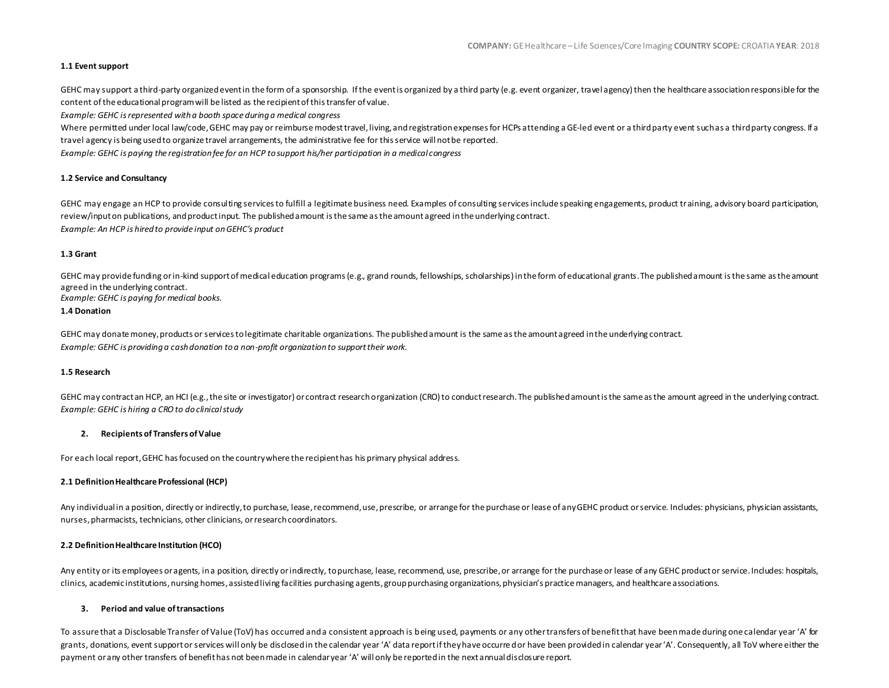### **1.1 Event support**

GEHC may support a third-party organized event in the form of a sponsorship. If the event is organized by a third party (e.g. event organizer, travel agency) then the healthcare association responsible for the content of the educational program will be listed as the recipient of this transfer of value.

*Example: GEHC is represented with a booth space during a medical congress*

Where permitted under local law/code, GEHC may pay or reimburse modest travel, living, and registration expenses for HCPs attending a GE-led event or a third party event such as a third party congress. If a travel agency is being used to organize travel arrangements, the administrative fee for this service will not be reported. *Example: GEHC is paying the registration fee for an HCP to support his/her participation in a medical congress*

#### **1.2 Service and Consultancy**

GEHC may engage an HCP to provide consulting services to fulfill a legitimate business need. Examples of consulting services include speaking engagements, product training, advisory board participation, review/input on publications, and product input. The published amount is the same as the amount agreed in the underlying contract. *Example: An HCP is hired to provide input on GEHC's product*

#### **1.3 Grant**

GEHC may provide funding or in-kind support of medical education programs (e.g., grand rounds, fellowships, scholarships) in the form of educational grants. The published amount is the same as the amount agreed in the underlying contract.

*Example: GEHC is paying for medical books.*

## **1.4 Donation**

GEHC may donate money, products or services to legitimate charitable organizations. The published amount is the same as the amount agreed in the underlying contract. *Example: GEHC is providing a cash donation to a non-profit organization to support their work.*

#### **1.5 Research**

GEHC may contract an HCP, an HCI (e.g., the site or investigator) or contract research organization (CRO) to conduct research. The published amount is the same as the amount agreed in the underlying contract. *Example: GEHC is hiring a CRO to do clinical study*

#### **2. Recipients of Transfers of Value**

For each local report, GEHC has focused on the country where the recipient has his primary physical address.

#### **2.1 Definition Healthcare Professional (HCP)**

Any individual in a position, directly or indirectly, to purchase, lease, recommend, use, prescribe, or arrange for the purchase or lease of any GEHC product or service. Includes: physicians, physician assistants, nurses, pharmacists, technicians, other clinicians, or research coordinators.

#### **2.2 Definition Healthcare Institution (HCO)**

Any entity or its employees or agents, in a position, directly or indirectly, to purchase, lease, recommend, use, prescribe, or arrange for the purchase or lease of any GEHC product or service. Includes: hospitals, clinics, academic institutions, nursing homes, assisted living facilities purchasing agents, group purchasing organizations, physician's practice managers, and healthcare associations.

#### **3. Period and value of transactions**

To assure that a Disclosable Transfer of Value (ToV) has occurred and a consistent approach is being used, payments or any other transfers of benefit that have been made during one calendar year 'A' for grants, donations, event support or services will only be disclosed in the calendar year 'A' data report if they have occurre d or have been provided in calendar year 'A'. Consequently, all ToV where either the payment or any other transfers of benefit has not been made in calendar year 'A' will only be reported in the next annual disclosure report.